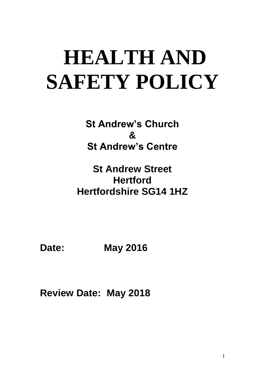# **HEALTH AND SAFETY POLICY**

**St Andrew's Church & St Andrew's Centre**

**St Andrew Street Hertford Hertfordshire SG14 1HZ**

**Date: May 2016**

**Review Date: May 2018**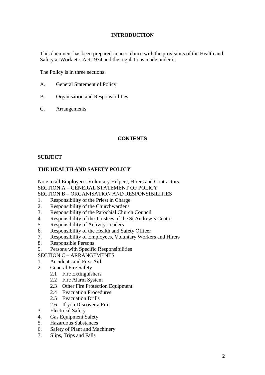## **INTRODUCTION**

This document has been prepared in accordance with the provisions of the Health and Safety at Work etc. Act 1974 and the regulations made under it.

The Policy is in three sections:

- A. General Statement of Policy
- B. Organisation and Responsibilities
- C. Arrangements

# **CONTENTS**

## **SUBJECT**

# **THE HEALTH AND SAFETY POLICY**

Note to all Employees, Voluntary Helpers, Hirers and Contractors SECTION A – GENERAL STATEMENT OF POLICY

- SECTION B ORGANISATION AND RESPONSIBILITIES
- 1. Responsibility of the Priest in Charge
- 2. Responsibility of the Churchwardens
- 3. Responsibility of the Parochial Church Council
- 4. Responsibility of the Trustees of the St Andrew's Centre
- 5. Responsibility of Activity Leaders
- 6. Responsibility of the Health and Safety Officer
- 7. Responsibility of Employees, Voluntary Workers and Hirers
- 8. Responsible Persons
- 9. Persons with Specific Responsibilities
- SECTION C ARRANGEMENTS
- 1. Accidents and First Aid
- 2. General Fire Safety
	- 2.1 Fire Extinguishers
	- 2.2 Fire Alarm System
	- 2.3 Other Fire Protection Equipment
	- 2.4 Evacuation Procedures
	- 2.5 Evacuation Drills
	- 2.6 If you Discover a Fire
- 3. Electrical Safety
- 4. Gas Equipment Safety
- 5. Hazardous Substances
- 6. Safety of Plant and Machinery
- 7. Slips, Trips and Falls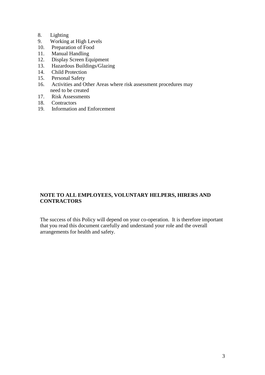## 8. Lighting

- 9. Working at High Levels<br>10. Preparation of Food
- Preparation of Food
- 11. Manual Handling
- 12. Display Screen Equipment
- 13. Hazardous Buildings/Glazing
- 14. Child Protection
- 15. Personal Safety
- 16. Activities and Other Areas where risk assessment procedures may need to be created
- 17. Risk Assessments
- 18. Contractors
- 19. Information and Enforcement

# **NOTE TO ALL EMPLOYEES, VOLUNTARY HELPERS, HIRERS AND CONTRACTORS**

The success of this Policy will depend on your co-operation. It is therefore important that you read this document carefully and understand your role and the overall arrangements for health and safety.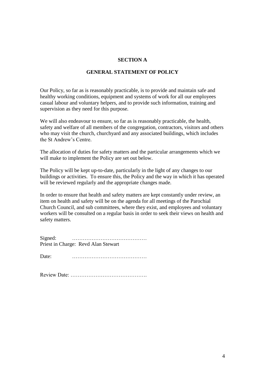#### **SECTION A**

#### **GENERAL STATEMENT OF POLICY**

Our Policy, so far as is reasonably practicable, is to provide and maintain safe and healthy working conditions, equipment and systems of work for all our employees casual labour and voluntary helpers, and to provide such information, training and supervision as they need for this purpose.

We will also endeavour to ensure, so far as is reasonably practicable, the health, safety and welfare of all members of the congregation, contractors, visitors and others who may visit the church, churchyard and any associated buildings, which includes the St Andrew's Centre.

The allocation of duties for safety matters and the particular arrangements which we will make to implement the Policy are set out below.

The Policy will be kept up-to-date, particularly in the light of any changes to our buildings or activities. To ensure this, the Policy and the way in which it has operated will be reviewed regularly and the appropriate changes made.

In order to ensure that health and safety matters are kept constantly under review, an item on health and safety will be on the agenda for all meetings of the Parochial Church Council, and sub committees, where they exist, and employees and voluntary workers will be consulted on a regular basis in order to seek their views on health and safety matters.

Signed: …………………………………… Priest in Charge: Revd Alan Stewart

Date: ……………………………………

Review Date: …………………………………….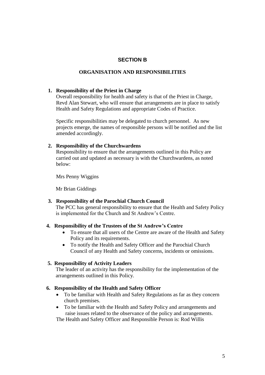## **SECTION B**

#### **ORGANISATION AND RESPONSIBILITIES**

#### **1. Responsibility of the Priest in Charge**

Overall responsibility for health and safety is that of the Priest in Charge, Revd Alan Stewart, who will ensure that arrangements are in place to satisfy Health and Safety Regulations and appropriate Codes of Practice.

Specific responsibilities may be delegated to church personnel. As new projects emerge, the names of responsible persons will be notified and the list amended accordingly.

#### **2. Responsibility of the Churchwardens**

Responsibility to ensure that the arrangements outlined in this Policy are carried out and updated as necessary is with the Churchwardens, as noted below:

Mrs Penny Wiggins

Mr Brian Giddings

## **3. Responsibility of the Parochial Church Council**

The PCC has general responsibility to ensure that the Health and Safety Policy is implemented for the Church and St Andrew's Centre.

#### **4. Responsibility of the Trustees of the St Andrew's Centre**

- To ensure that all users of the Centre are aware of the Health and Safety Policy and its requirements.
- To notify the Health and Safety Officer and the Parochial Church Council of any Health and Safety concerns, incidents or omissions.

## **5. Responsibility of Activity Leaders**

The leader of an activity has the responsibility for the implementation of the arrangements outlined in this Policy.

#### **6. Responsibility of the Health and Safety Officer**

- To be familiar with Health and Safety Regulations as far as they concern church premises.
- To be familiar with the Health and Safety Policy and arrangements and raise issues related to the observance of the policy and arrangements.

The Health and Safety Officer and Responsible Person is: Rod Willis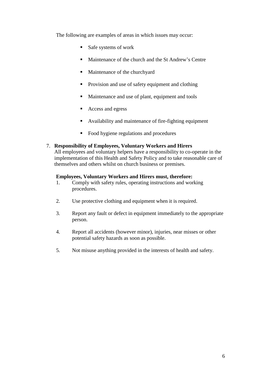The following are examples of areas in which issues may occur:

- $S$ afe systems of work
- Maintenance of the church and the St Andrew's Centre
- Maintenance of the churchyard
- **Provision and use of safety equipment and clothing**
- Maintenance and use of plant, equipment and tools
- Access and egress
- Availability and maintenance of fire-fighting equipment
- Food hygiene regulations and procedures

## 7. **Responsibility of Employees, Voluntary Workers and Hirers**

All employees and voluntary helpers have a responsibility to co-operate in the implementation of this Health and Safety Policy and to take reasonable care of themselves and others whilst on church business or premises.

## **Employees, Voluntary Workers and Hirers must, therefore:**

- 1. Comply with safety rules, operating instructions and working procedures.
- 2. Use protective clothing and equipment when it is required.
- 3. Report any fault or defect in equipment immediately to the appropriate person.
- 4. Report all accidents (however minor), injuries, near misses or other potential safety hazards as soon as possible.
- 5. Not misuse anything provided in the interests of health and safety.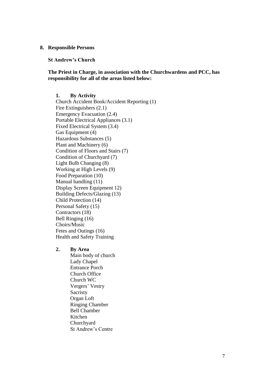#### **8. Responsible Persons**

**St Andrew's Church**

**The Priest in Charge, in association with the Churchwardens and PCC, has responsibility for all of the areas listed below:**

**1. By Activity** Church Accident Book/Accident Reporting (1) Fire Extinguishers (2.1) Emergency Evacuation (2.4) Portable Electrical Appliances (3.1) Fixed Electrical System (3.4) Gas Equipment (4) Hazardous Substances (5) Plant and Machinery (6) Condition of Floors and Stairs (7) Condition of Churchyard (7) Light Bulb Changing (8) Working at High Levels (9) Food Preparation (10) Manual handling (11) Display Screen Equipment 12) Building Defects/Glazing (13) Child Protection (14) Personal Safety (15) Contractors (18) Bell Ringing (16) Choirs/Music Fetes and Outings (16) Health and Safety Training

#### **2. By Area**

Main body of church Lady Chapel Entrance Porch Church Office Church WC Vergers' Vestry **Sacristy** Organ Loft Ringing Chamber Bell Chamber Kitchen Churchyard St Andrew's Centre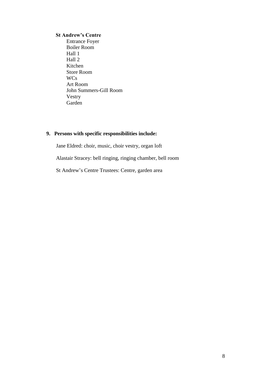#### **St Andrew's Centre**

**Entrance Foyer**  Boiler Room Hall 1 Hall 2 Kitchen Store Room WCs Art Room John Summers-Gill Room Vestry Garden

# **9. Persons with specific responsibilities include:**

Jane Eldred: choir, music, choir vestry, organ loft

Alastair Stracey: bell ringing, ringing chamber, bell room

St Andrew's Centre Trustees: Centre, garden area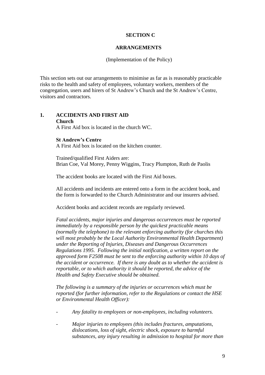#### **SECTION C**

#### **ARRANGEMENTS**

(Implementation of the Policy)

This section sets out our arrangements to minimise as far as is reasonably practicable risks to the health and safety of employees, voluntary workers, members of the congregation, users and hirers of St Andrew's Church and the St Andrew's Centre, visitors and contractors.

# **1. ACCIDENTS AND FIRST AID Church**

A First Aid box is located in the church WC.

## **St Andrew's Centre**

A First Aid box is located on the kitchen counter.

Trained/qualified First Aiders are: Brian Coe, Val Morey, Penny Wiggins, Tracy Plumpton, Ruth de Paolis

The accident books are located with the First Aid boxes.

All accidents and incidents are entered onto a form in the accident book, and the form is forwarded to the Church Administrator and our insurers advised.

Accident books and accident records are regularly reviewed.

*Fatal accidents, major injuries and dangerous occurrences must be reported immediately by a responsible person by the quickest practicable means (normally the telephone) to the relevant enforcing authority (for churches this will most probably be the Local Authority Environmental Health Department) under the Reporting of Injuries, Diseases and Dangerous Occurrences Regulations 1995. Following the initial notification, a written report on the approved form F2508 must be sent to the enforcing authority within 10 days of the accident or occurrence. If there is any doubt as to whether the accident is reportable, or to which authority it should be reported, the advice of the Health and Safety Executive should be obtained.*

*The following is a summary of the injuries or occurrences which must be reported (for further information, refer to the Regulations or contact the HSE or Environmental Health Officer):*

- *- Any fatality to employees or non-employees, including volunteers.*
- *- Major injuries to employees (this includes fractures, amputations, dislocations, loss of sight, electric shock, exposure to harmful substances, any injury resulting in admission to hospital for more than*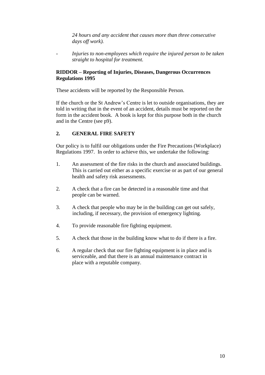*24 hours and any accident that causes more than three consecutive days off work).*

*- Injuries to non-employees which require the injured person to be taken straight to hospital for treatment.*

## **RIDDOR – Reporting of Injuries, Diseases, Dangerous Occurrences Regulations 1995**

These accidents will be reported by the Responsible Person.

If the church or the St Andrew's Centre is let to outside organisations, they are told in writing that in the event of an accident, details must be reported on the form in the accident book. A book is kept for this purpose both in the church and in the Centre (see p9).

# **2. GENERAL FIRE SAFETY**

Our policy is to fulfil our obligations under the Fire Precautions (Workplace) Regulations 1997. In order to achieve this, we undertake the following:

- 1. An assessment of the fire risks in the church and associated buildings. This is carried out either as a specific exercise or as part of our general health and safety risk assessments.
- 2. A check that a fire can be detected in a reasonable time and that people can be warned.
- 3. A check that people who may be in the building can get out safely, including, if necessary, the provision of emergency lighting.
- 4. To provide reasonable fire fighting equipment.
- 5. A check that those in the building know what to do if there is a fire.
- 6. A regular check that our fire fighting equipment is in place and is serviceable, and that there is an annual maintenance contract in place with a reputable company.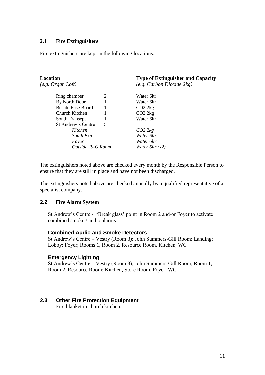## **2.1 Fire Extinguishers**

Fire extinguishers are kept in the following locations:

#### **Location Type of Extinguisher and Capacity**

*(e.g. Organ Loft) (e.g. Carbon Dioxide 2kg)*

| Ring chamber              | 2 | Water 61tr        |  |
|---------------------------|---|-------------------|--|
| By North Door             |   | Water 61tr        |  |
| <b>Beside Fuse Board</b>  |   | CO22kg            |  |
| Church Kitchen            |   | CO22kg            |  |
| South Transept            |   | Water 61tr        |  |
| <b>St Andrew's Centre</b> | 5 |                   |  |
| Kitchen                   |   | CO22kg            |  |
| South Exit                |   | Water 6ltr        |  |
| Fover                     |   | Water 6ltr        |  |
| Outside JS-G Room         |   | Water 6ltr $(x2)$ |  |

The extinguishers noted above are checked every month by the Responsible Person to ensure that they are still in place and have not been discharged.

The extinguishers noted above are checked annually by a qualified representative of a specialist company.

#### **2.2 Fire Alarm System**

St Andrew's Centre - **'**Break glass' point in Room 2 and/or Foyer to activate combined smoke / audio alarms

#### **Combined Audio and Smoke Detectors**

St Andrew's Centre – Vestry (Room 3); John Summers-Gill Room; Landing; Lobby; Foyer; Rooms 1, Room 2, Resource Room, Kitchen, WC

#### **Emergency Lighting**

St Andrew's Centre – Vestry (Room 3); John Summers-Gill Room; Room 1, Room 2, Resource Room; Kitchen, Store Room, Foyer, WC

#### **2.3 Other Fire Protection Equipment**

Fire blanket in church kitchen.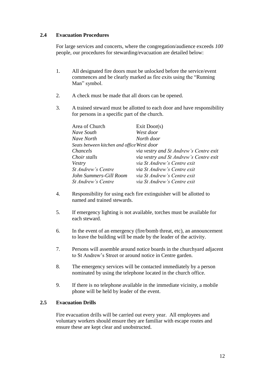## **2.4 Evacuation Procedures**

For large services and concerts, where the congregation/audience exceeds *100*  people*, o*ur procedures for stewarding/evacuation are detailed below:

- 1. All designated fire doors must be unlocked before the service/event commences and be clearly marked as fire exits using the "Running Man" symbol.
- 2. A check must be made that all doors can be opened.
- 3. A trained steward must be allotted to each door and have responsibility for persons in a specific part of the church.

| Area of Church                             | Exit Door(s)                           |  |  |
|--------------------------------------------|----------------------------------------|--|--|
| Nave South                                 | West door                              |  |  |
| Nave North                                 | North door                             |  |  |
| Seats between kitchen and office West door |                                        |  |  |
| Chancels                                   | via vestry and St Andrew's Centre exit |  |  |
| Choir stalls                               | via vestry and St Andrew's Centre exit |  |  |
| Vestry                                     | via St Andrew's Centre exit            |  |  |
| St Andrew's Centre                         | via St Andrew's Centre exit            |  |  |
| John Summers-Gill Room                     | via St Andrew's Centre exit            |  |  |
| St Andrew's Centre                         | via St Andrew's Centre exit            |  |  |

- 4. Responsibility for using each fire extinguisher will be allotted to named and trained stewards.
- 5. If emergency lighting is not available, torches must be available for each steward.
- 6. In the event of an emergency (fire/bomb threat, etc), an announcement to leave the building will be made by the leader of the activity.
- 7. Persons will assemble around notice boards in the churchyard adjacent to St Andrew's Street or around notice in Centre garden.
- 8. The emergency services will be contacted immediately by a person nominated by using the telephone located in the church office.
- 9. If there is no telephone available in the immediate vicinity, a mobile phone will be held by leader of the event.

## **2.5 Evacuation Drills**

Fire evacuation drills will be carried out every year. All employees and voluntary workers should ensure they are familiar with escape routes and ensure these are kept clear and unobstructed.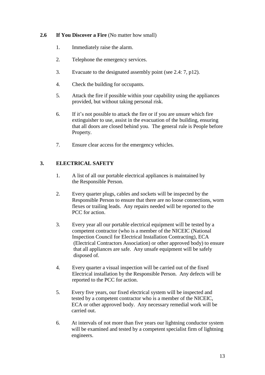## **2.6 If You Discover a Fire** (No matter how small)

- 1. Immediately raise the alarm.
- 2. Telephone the emergency services.
- 3. Evacuate to the designated assembly point (see 2.4: 7, p12).
- 4. Check the building for occupants.
- 5. Attack the fire if possible within your capability using the appliances provided, but without taking personal risk.
- 6. If it's not possible to attack the fire or if you are unsure which fire extinguisher to use, assist in the evacuation of the building, ensuring that all doors are closed behind you. The general rule is People before Property.
- 7. Ensure clear access for the emergency vehicles.

# **3. ELECTRICAL SAFETY**

- 1. A list of all our portable electrical appliances is maintained by the Responsible Person.
- 2. Every quarter plugs, cables and sockets will be inspected by the Responsible Person to ensure that there are no loose connections, worn flexes or trailing leads. Any repairs needed will be reported to the PCC for action.
- 3. Every year all our portable electrical equipment will be tested by a competent contractor (who is a member of the NICEIC (National Inspection Council for Electrical Installation Contracting), ECA (Electrical Contractors Association) or other approved body) to ensure that all appliances are safe. Any unsafe equipment will be safely disposed of.
- 4. Every quarter a visual inspection will be carried out of the fixed Electrical installation by the Responsible Person. Any defects will be reported to the PCC for action.
- 5. Every five years, our fixed electrical system will be inspected and tested by a competent contractor who is a member of the NICEIC, ECA or other approved body. Any necessary remedial work will be carried out.
- 6. At intervals of not more than five years our lightning conductor system will be examined and tested by a competent specialist firm of lightning engineers.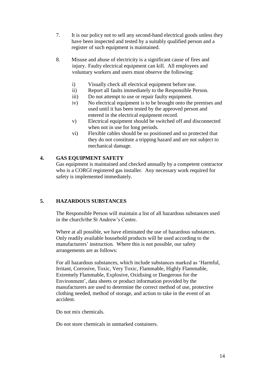- 7. It is our policy not to sell any second-hand electrical goods unless they have been inspected and tested by a suitably qualified person and a register of such equipment is maintained.
- 8. Misuse and abuse of electricity is a significant cause of fires and injury. Faulty electrical equipment can kill. All employees and voluntary workers and users must observe the following:
	- i) Visually check all electrical equipment before use.
	- ii) Report all faults immediately to the Responsible Person.
	- iii) Do not attempt to use or repair faulty equipment.
	- iv) No electrical equipment is to be brought onto the premises and used until it has been tested by the approved person and entered in the electrical equipment record.
	- v) Electrical equipment should be switched off and disconnected when not in use for long periods.
	- vi) Flexible cables should be so positioned and so protected that they do not constitute a tripping hazard and are not subject to mechanical damage.

## **4. GAS EQUIPMENT SAFETY**

Gas equipment is maintained and checked annually by a competent contractor who is a CORGI registered gas installer. Any necessary work required for safety is implemented immediately.

## **5. HAZARDOUS SUBSTANCES**

The Responsible Person will maintain a list of all hazardous substances used in the church/the St Andrew's Centre.

Where at all possible, we have eliminated the use of hazardous substances. Only readily available household products will be used according to the manufacturers' instruction. Where this is not possible, our safety arrangements are as follows:

For all hazardous substances, which include substances marked as 'Harmful, Irritant, Corrosive, Toxic, Very Toxic, Flammable, Highly Flammable, Extremely Flammable, Explosive, Oxidising or Dangerous for the Environment', data sheets or product information provided by the manufacturers are used to determine the correct method of use, protective clothing needed, method of storage, and action to take in the event of an accident.

Do not mix chemicals.

Do not store chemicals in unmarked containers.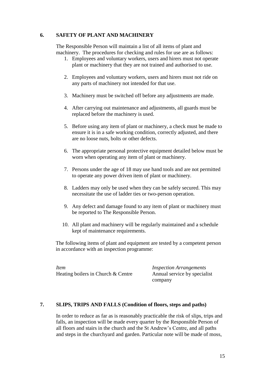## **6. SAFETY OF PLANT AND MACHINERY**

The Responsible Person will maintain a list of all items of plant and machinery. The procedures for checking and rules for use are as follows:

- 1. Employees and voluntary workers, users and hirers must not operate plant or machinery that they are not trained and authorised to use.
- 2. Employees and voluntary workers, users and hirers must not ride on any parts of machinery not intended for that use.
- 3. Machinery must be switched off before any adjustments are made.
- 4. After carrying out maintenance and adjustments, all guards must be replaced before the machinery is used.
- 5. Before using any item of plant or machinery, a check must be made to ensure it is in a safe working condition, correctly adjusted, and there are no loose nuts, bolts or other defects.
- 6. The appropriate personal protective equipment detailed below must be worn when operating any item of plant or machinery.
- 7. Persons under the age of 18 may use hand tools and are not permitted to operate any power driven item of plant or machinery.
- 8. Ladders may only be used when they can be safely secured. This may necessitate the use of ladder ties or two-person operation.
- 9. Any defect and damage found to any item of plant or machinery must be reported to The Responsible Person.
- 10. All plant and machinery will be regularly maintained and a schedule kept of maintenance requirements.

The following items of plant and equipment are tested by a competent person in accordance with an inspection programme:

*Item Inspection Arrangements* Heating boilers in Church & Centre Annual service by specialist

company

## **7. SLIPS, TRIPS AND FALLS (Condition of floors, steps and paths)**

In order to reduce as far as is reasonably practicable the risk of slips, trips and falls, an inspection will be made every quarter by the Responsible Person of all floors and stairs in the church and the St Andrew's Centre, and all paths and steps in the churchyard and garden. Particular note will be made of moss,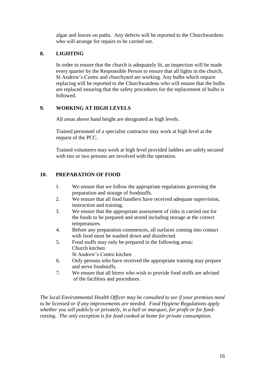algae and leaves on paths. Any defects will be reported to the Churchwardens who will arrange for repairs to be carried out.

# **8. LIGHTING**

In order to ensure that the church is adequately lit, an inspection will be made every quarter by the Responsible Person to ensure that all lights in the church, St Andrew's Centre and churchyard are working. Any bulbs which require replacing will be reported to the Churchwardens who will ensure that the bulbs are replaced ensuring that the safety procedures for the replacement of bulbs is followed.

# **9. WORKING AT HIGH LEVELS**

All areas above hand height are designated as high levels.

Trained personnel of a specialist contractor may work at high level at the request of the PCC.

Trained volunteers may work at high level provided ladders are safely secured with ties or two persons are involved with the operation.

# **10. PREPARATION OF FOOD**

- 1. We ensure that we follow the appropriate regulations governing the preparation and storage of foodstuffs.
- 2. We ensure that all food handlers have received adequate supervision, instruction and training.
- 3. We ensure that the appropriate assessment of risks is carried out for the foods to be prepared and stored including storage at the correct temperatures.
- 4. Before any preparation commences, all surfaces coming into contact with food must be washed down and disinfected.
- 5. Food stuffs may only be prepared in the following areas: Church kitchen St Andrew's Centre kitchen
- 6. Only persons who have received the appropriate training may prepare and serve foodstuffs.
- 7. We ensure that all hirers who wish to provide food stuffs are advised of the facilities and procedures.

*The local Environmental Health Officer may be consulted to see if your premises need to be licensed or if any improvements are needed. Food Hygiene Regulations apply whether you sell publicly or privately, in a hall or marquee, for profit or for fundraising. The only exception is for food cooked at home for private consumption.*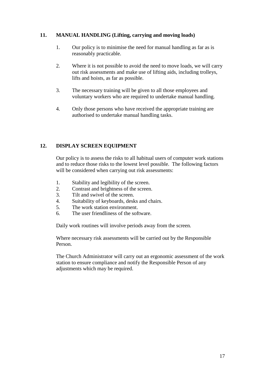## **11. MANUAL HANDLING (Lifting, carrying and moving loads)**

- 1. Our policy is to minimise the need for manual handling as far as is reasonably practicable.
- 2. Where it is not possible to avoid the need to move loads, we will carry out risk assessments and make use of lifting aids, including trolleys, lifts and hoists, as far as possible.
- 3. The necessary training will be given to all those employees and voluntary workers who are required to undertake manual handling.
- 4. Only those persons who have received the appropriate training are authorised to undertake manual handling tasks.

# **12. DISPLAY SCREEN EQUIPMENT**

Our policy is to assess the risks to all habitual users of computer work stations and to reduce those risks to the lowest level possible. The following factors will be considered when carrying out risk assessments:

- 1. Stability and legibility of the screen.
- 2. Contrast and brightness of the screen.
- 3. Tilt and swivel of the screen.
- 4. Suitability of keyboards, desks and chairs.
- 5. The work station environment.
- 6. The user friendliness of the software.

Daily work routines will involve periods away from the screen.

Where necessary risk assessments will be carried out by the Responsible Person.

The Church Administrator will carry out an ergonomic assessment of the work station to ensure compliance and notify the Responsible Person of any adjustments which may be required.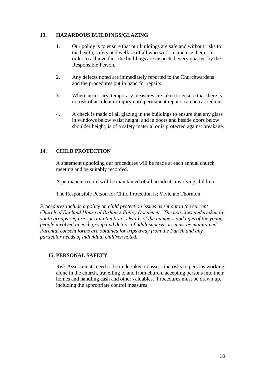## **13. HAZARDOUS BUILDINGS/GLAZING**

- 1. Our policy is to ensure that our buildings are safe and without risks to the health, safety and welfare of all who work in and use them. In order to achieve this, the buildings are inspected every quarter by the Responsible Person.
- 2. Any defects noted are immediately reported to the Churchwardens and the procedures put in hand for repairs.
- 3. Where necessary, temporary measures are taken to ensure that there is no risk of accident or injury until permanent repairs can be carried out.
- 4. A check is made of all glazing in the buildings to ensure that any glass in windows below waist height, and in doors and beside doors below shoulder height, is of a safety material or is protected against breakage.

## **14. CHILD PROTECTION**

A statement upholding our procedures will be made at each annual church meeting and be suitably recorded.

A permanent record will be maintained of all accidents involving children.

The Responsible Person for Child Protection is: Vivienne Thornton

*Procedures include a policy on child protection issues as set out in the current Church of England House of Bishop's Policy Document. The activities undertaken by youth groups require special attention. Details of the numbers and ages of the young people involved in each group and details of adult supervisors must be maintained. Parental consent forms are obtained for trips away from the Parish and any particular needs of individual children noted.*

## **15. PERSONAL SAFETY**

Risk Assessments need to be undertaken to assess the risks to persons working alone in the church, travelling to and from church, accepting persons into their homes and handling cash and other valuables. Procedures must be drawn up, including the appropriate control measures.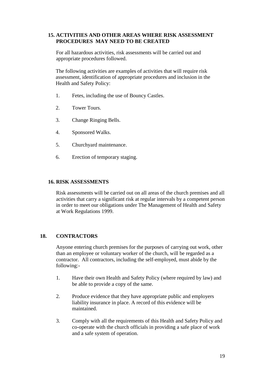## **15. ACTIVITIES AND OTHER AREAS WHERE RISK ASSESSMENT PROCEDURES MAY NEED TO BE CREATED**

For all hazardous activities, risk assessments will be carried out and appropriate procedures followed.

The following activities are examples of activities that will require risk assessment, identification of appropriate procedures and inclusion in the Health and Safety Policy:

- 1. Fetes, including the use of Bouncy Castles.
- 2. Tower Tours.
- 3. Change Ringing Bells.
- 4. Sponsored Walks.
- 5. Churchyard maintenance.
- 6. Erection of temporary staging.

#### **16. RISK ASSESSMENTS**

Risk assessments will be carried out on all areas of the church premises and all activities that carry a significant risk at regular intervals by a competent person in order to meet our obligations under The Management of Health and Safety at Work Regulations 1999.

#### **18. CONTRACTORS**

Anyone entering church premises for the purposes of carrying out work, other than an employee or voluntary worker of the church, will be regarded as a contractor. All contractors, including the self-employed, must abide by the following:-

- 1. Have their own Health and Safety Policy (where required by law) and be able to provide a copy of the same.
- 2. Produce evidence that they have appropriate public and employers liability insurance in place. A record of this evidence will be maintained.
- 3. Comply with all the requirements of this Health and Safety Policy and co-operate with the church officials in providing a safe place of work and a safe system of operation.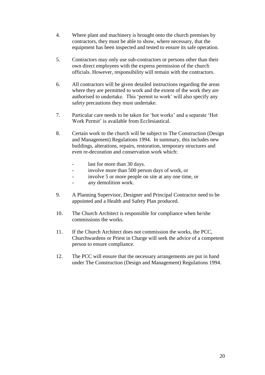- 4. Where plant and machinery is brought onto the church premises by contractors, they must be able to show, where necessary, that the equipment has been inspected and tested to ensure its safe operation.
- 5. Contractors may only use sub-contractors or persons other than their own direct employees with the express permission of the church officials. However, responsibility will remain with the contractors.
- 6. All contractors will be given detailed instructions regarding the areas where they are permitted to work and the extent of the work they are authorised to undertake. This 'permit to work' will also specify any safety precautions they must undertake.
- 7. Particular care needs to be taken for 'hot works' and a separate 'Hot Work Permit' is available from Ecclesiastical.
- 8. Certain work to the church will be subject to The Construction (Design and Management) Regulations 1994. In summary, this includes new buildings, alterations, repairs, restoration, temporary structures and even re-decoration and conservation work which:
	- last for more than 30 days.
	- involve more than 500 person days of work, or
	- involve 5 or more people on site at any one time, or
	- any demolition work.
- 9. A Planning Supervisor, Designer and Principal Contractor need to be appointed and a Health and Safety Plan produced.
- 10. The Church Architect is responsible for compliance when he/she commissions the works.
- 11. If the Church Architect does not commission the works, the PCC, Churchwardens or Priest in Charge will seek the advice of a competent person to ensure compliance.
- 12.The PCC will ensure that the necessary arrangements are put in hand under The Construction (Design and Management) Regulations 1994.